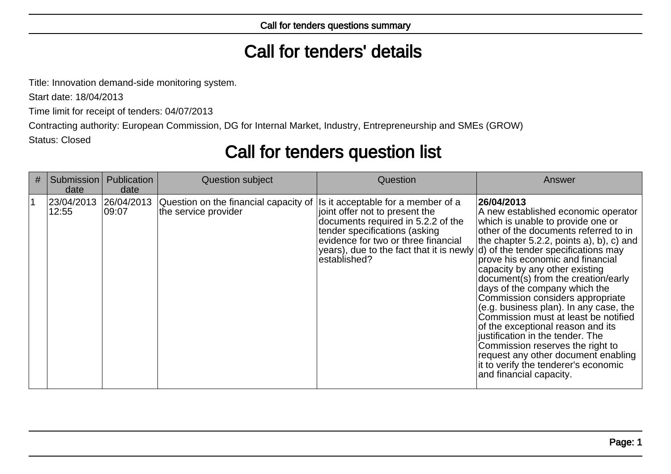# Call for tenders' details

Title: Innovation demand-side monitoring system.

Start date: 18/04/2013

Time limit for receipt of tenders: 04/07/2013

Contracting authority: European Commission, DG for Internal Market, Industry, Entrepreneurship and SMEs (GROW)

Status: Closed

## Call for tenders question list

| # | Submission  <br>date | Publication<br>date  | Question subject                                                                                     | Question                                                                                                                                                                                                                                        | Answer                                                                                                                                                                                                                                                                                                                                                                                                                                                                                                                                                                                                                                                                    |
|---|----------------------|----------------------|------------------------------------------------------------------------------------------------------|-------------------------------------------------------------------------------------------------------------------------------------------------------------------------------------------------------------------------------------------------|---------------------------------------------------------------------------------------------------------------------------------------------------------------------------------------------------------------------------------------------------------------------------------------------------------------------------------------------------------------------------------------------------------------------------------------------------------------------------------------------------------------------------------------------------------------------------------------------------------------------------------------------------------------------------|
|   | 23/04/2013<br>12:55  | 26/04/2013<br> 09:07 | Question on the financial capacity of $ $ Is it acceptable for a member of a<br>the service provider | joint offer not to present the<br>documents required in 5.2.2 of the<br>tender specifications (asking<br>evidence for two or three financial<br>years), due to the fact that it is newly $ d $ of the tender specifications may<br>established? | 26/04/2013<br>A new established economic operator<br>which is unable to provide one or<br>other of the documents referred to in<br>the chapter 5.2.2, points a), b), c) and<br>prove his economic and financial<br>capacity by any other existing<br>document(s) from the creation/early<br>days of the company which the<br>Commission considers appropriate<br>$(e.g. business plan)$ . In any case, the<br>Commission must at least be notified<br>of the exceptional reason and its<br>justification in the tender. The<br>Commission reserves the right to<br>request any other document enabling<br>it to verify the tenderer's economic<br>and financial capacity. |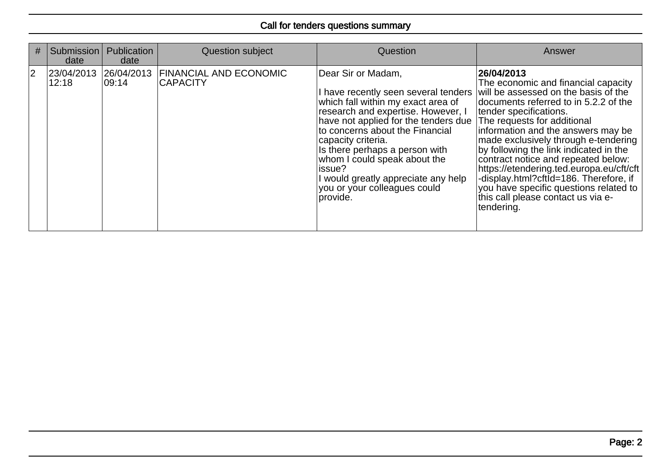| #                       | <b>Submission</b><br>date        | Publication<br>date | Question subject                                 | Question                                                                                                                                                                                                                                                                                                                                                                                                | Answer                                                                                                                                                                                                                                                                                                                                                                                                                                                                                                                                         |
|-------------------------|----------------------------------|---------------------|--------------------------------------------------|---------------------------------------------------------------------------------------------------------------------------------------------------------------------------------------------------------------------------------------------------------------------------------------------------------------------------------------------------------------------------------------------------------|------------------------------------------------------------------------------------------------------------------------------------------------------------------------------------------------------------------------------------------------------------------------------------------------------------------------------------------------------------------------------------------------------------------------------------------------------------------------------------------------------------------------------------------------|
| $\overline{\mathbf{2}}$ | 23/04/2013  26/04/2013 <br>12:18 | 09:14               | <b>FINANCIAL AND ECONOMIC</b><br><b>CAPACITY</b> | Dear Sir or Madam,<br>I have recently seen several tenders<br>which fall within my exact area of<br>research and expertise. However, I<br>have not applied for the tenders due<br>to concerns about the Financial<br>capacity criteria.<br>Is there perhaps a person with<br>whom I could speak about the<br>lissue?<br>I would greatly appreciate any help<br>you or your colleagues could<br>provide. | 26/04/2013<br>The economic and financial capacity<br>will be assessed on the basis of the<br>documents referred to in 5.2.2 of the<br>tender specifications.<br>The requests for additional<br>information and the answers may be<br>made exclusively through e-tendering<br>by following the link indicated in the<br>contract notice and repeated below:<br>https://etendering.ted.europa.eu/cft/cft<br>-display.html?cftId=186. Therefore, if<br>you have specific questions related to<br>this call please contact us via e-<br>tendering. |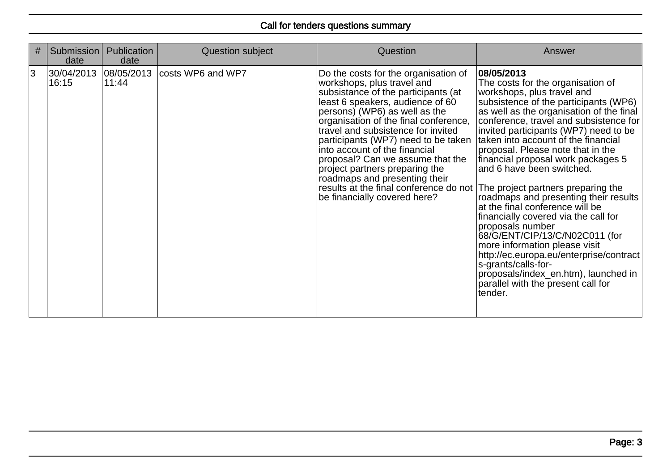| # | Submission<br>date             | Publication<br>date | Question subject  | Question                                                                                                                                                                                                                                                                                                                                                                                                                                                                                                                                                  | Answer                                                                                                                                                                                                                                                                                                                                                                                                                                                                                                                                                                                                                                                                                                                                                                     |
|---|--------------------------------|---------------------|-------------------|-----------------------------------------------------------------------------------------------------------------------------------------------------------------------------------------------------------------------------------------------------------------------------------------------------------------------------------------------------------------------------------------------------------------------------------------------------------------------------------------------------------------------------------------------------------|----------------------------------------------------------------------------------------------------------------------------------------------------------------------------------------------------------------------------------------------------------------------------------------------------------------------------------------------------------------------------------------------------------------------------------------------------------------------------------------------------------------------------------------------------------------------------------------------------------------------------------------------------------------------------------------------------------------------------------------------------------------------------|
| 3 | 30/04/2013 08/05/2013<br>16:15 | 11:44               | costs WP6 and WP7 | Do the costs for the organisation of<br>workshops, plus travel and<br>subsistance of the participants (at<br>least 6 speakers, audience of 60<br>persons) (WP6) as well as the<br>organisation of the final conference,<br>travel and subsistence for invited<br>participants (WP7) need to be taken<br>into account of the financial<br>proposal? Can we assume that the<br>project partners preparing the<br>roadmaps and presenting their<br>results at the final conference do not The project partners preparing the<br>be financially covered here? | 08/05/2013<br>The costs for the organisation of<br>workshops, plus travel and<br>subsistence of the participants (WP6)<br>as well as the organisation of the final<br>conference, travel and subsistence for<br>invited participants (WP7) need to be<br>taken into account of the financial<br>proposal. Please note that in the<br>financial proposal work packages 5<br>and 6 have been switched.<br>roadmaps and presenting their results<br>at the final conference will be<br>financially covered via the call for<br>proposals number<br>68/G/ENT/CIP/13/C/N02C011 (for<br>more information please visit<br>http://ec.europa.eu/enterprise/contract<br>s-grants/calls-for-<br>proposals/index en.htm), launched in<br>parallel with the present call for<br>tender. |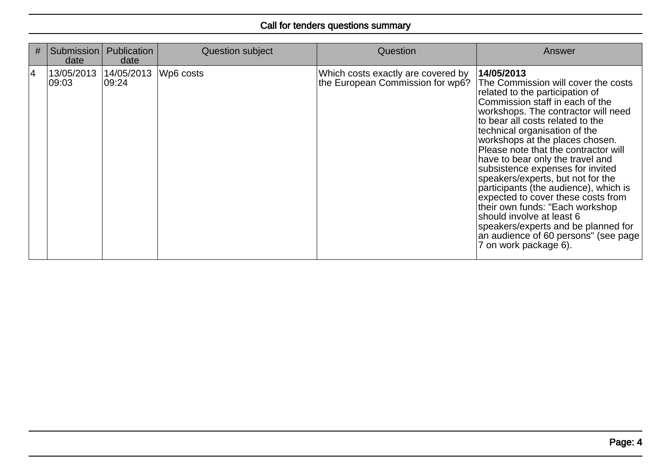| # | Submission  <br>date            | Publication<br>date | <b>Question subject</b> | Question                                                               | Answer                                                                                                                                                                                                                                                                                                                                                                                                                                                                                                                                                                                                                                                                             |
|---|---------------------------------|---------------------|-------------------------|------------------------------------------------------------------------|------------------------------------------------------------------------------------------------------------------------------------------------------------------------------------------------------------------------------------------------------------------------------------------------------------------------------------------------------------------------------------------------------------------------------------------------------------------------------------------------------------------------------------------------------------------------------------------------------------------------------------------------------------------------------------|
| 4 | 13/05/2013 14/05/2013<br>109:03 | 109:24              | Wp6 costs               | Which costs exactly are covered by<br>the European Commission for wp6? | 14/05/2013<br>The Commission will cover the costs<br>related to the participation of<br>Commission staff in each of the<br>workshops. The contractor will need<br>to bear all costs related to the<br>technical organisation of the<br>workshops at the places chosen.<br>Please note that the contractor will<br>have to bear only the travel and<br>subsistence expenses for invited<br>speakers/experts, but not for the<br>participants (the audience), which is<br>expected to cover these costs from<br>their own funds: "Each workshop<br>should involve at least 6<br>speakers/experts and be planned for<br>an audience of 60 persons" (see page<br>7 on work package 6). |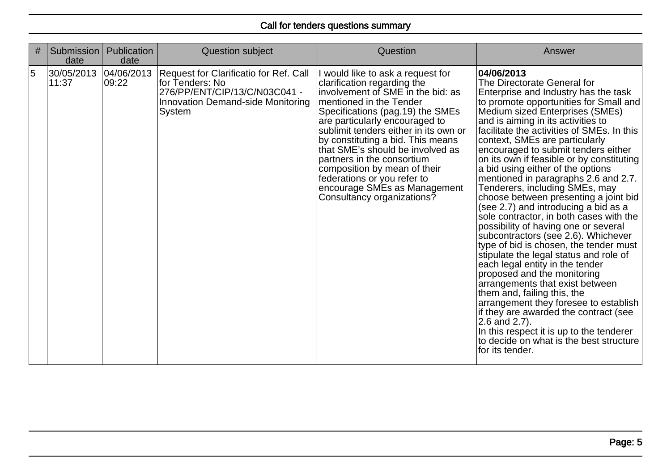| # | Submission<br>date  | Publication<br>date  | Question subject                                                                                                                                 | Question                                                                                                                                                                                                                                                                                                                                                                                                                                                                            | Answer                                                                                                                                                                                                                                                                                                                                                                                                                                                                                                                                                                                                                                                                                                                                                                                                                                                                                                                                                                                                                                                                                                                                  |
|---|---------------------|----------------------|--------------------------------------------------------------------------------------------------------------------------------------------------|-------------------------------------------------------------------------------------------------------------------------------------------------------------------------------------------------------------------------------------------------------------------------------------------------------------------------------------------------------------------------------------------------------------------------------------------------------------------------------------|-----------------------------------------------------------------------------------------------------------------------------------------------------------------------------------------------------------------------------------------------------------------------------------------------------------------------------------------------------------------------------------------------------------------------------------------------------------------------------------------------------------------------------------------------------------------------------------------------------------------------------------------------------------------------------------------------------------------------------------------------------------------------------------------------------------------------------------------------------------------------------------------------------------------------------------------------------------------------------------------------------------------------------------------------------------------------------------------------------------------------------------------|
| 5 | 30/05/2013<br>11:37 | 04/06/2013<br> 09:22 | Request for Clarificatio for Ref. Call<br>for Tenders: No<br>276/PP/ENT/CIP/13/C/N03C041 -<br><b>Innovation Demand-side Monitoring</b><br>System | I would like to ask a request for<br>clarification regarding the<br>involvement of SME in the bid: as<br>mentioned in the Tender<br>Specifications (pag.19) the SMEs<br>are particularly encouraged to<br>sublimit tenders either in its own or<br>by constituting a bid. This means<br>that SME's should be involved as<br>partners in the consortium<br>composition by mean of their<br>federations or you refer to<br>encourage SMEs as Management<br>Consultancy organizations? | 04/06/2013<br>The Directorate General for<br>Enterprise and Industry has the task<br>to promote opportunities for Small and<br>Medium sized Enterprises (SMEs)<br>and is aiming in its activities to<br>facilitate the activities of SMEs. In this<br>context, SMEs are particularly<br>encouraged to submit tenders either<br>on its own if feasible or by constituting<br>a bid using either of the options<br>mentioned in paragraphs 2.6 and 2.7.<br>Tenderers, including SMEs, may<br>choose between presenting a joint bid<br>(see 2.7) and introducing a bid as a<br>sole contractor, in both cases with the<br>possibility of having one or several<br>subcontractors (see 2.6). Whichever<br>type of bid is chosen, the tender must<br>stipulate the legal status and role of<br>each legal entity in the tender<br>proposed and the monitoring<br>arrangements that exist between<br>them and, failing this, the<br>arrangement they foresee to establish<br>if they are awarded the contract (see<br>2.6 and 2.7).<br>In this respect it is up to the tenderer<br>to decide on what is the best structure<br>for its tender. |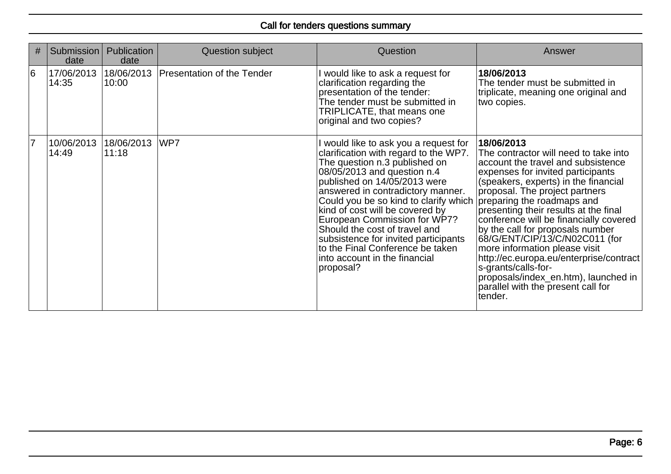| #  | Submission<br>date  | Publication<br>date | Question subject           | <b>Question</b>                                                                                                                                                                                                                                                                                                                                                                                                                                                                            | Answer                                                                                                                                                                                                                                                                                                                                                                                                                                                                                                                                                                                      |
|----|---------------------|---------------------|----------------------------|--------------------------------------------------------------------------------------------------------------------------------------------------------------------------------------------------------------------------------------------------------------------------------------------------------------------------------------------------------------------------------------------------------------------------------------------------------------------------------------------|---------------------------------------------------------------------------------------------------------------------------------------------------------------------------------------------------------------------------------------------------------------------------------------------------------------------------------------------------------------------------------------------------------------------------------------------------------------------------------------------------------------------------------------------------------------------------------------------|
| 6  | 17/06/2013<br>14:35 | 18/06/2013<br>10:00 | Presentation of the Tender | I would like to ask a request for<br>clarification regarding the<br>presentation of the tender:<br>The tender must be submitted in<br>TRIPLICATE, that means one<br>original and two copies?                                                                                                                                                                                                                                                                                               | 18/06/2013<br>The tender must be submitted in<br>triplicate, meaning one original and<br>two copies.                                                                                                                                                                                                                                                                                                                                                                                                                                                                                        |
| 17 | 10/06/2013<br>14:49 | 18/06/2013<br>11:18 | WP7                        | I would like to ask you a request for<br>clarification with regard to the WP7.<br>The question n.3 published on<br>08/05/2013 and question n.4<br>published on 14/05/2013 were<br>answered in contradictory manner.<br>Could you be so kind to clarify which<br>kind of cost will be covered by<br>European Commission for WP7?<br>Should the cost of travel and<br>subsistence for invited participants<br>to the Final Conference be taken<br>into account in the financial<br>proposal? | 18/06/2013<br>The contractor will need to take into<br>account the travel and subsistence<br>expenses for invited participants<br>(speakers, experts) in the financial<br>proposal. The project partners<br>preparing the roadmaps and<br>presenting their results at the final<br>conference will be financially covered<br>by the call for proposals number<br>68/G/ENT/CIP/13/C/N02C011 (for<br>more information please visit<br>http://ec.europa.eu/enterprise/contract<br>s-grants/calls-for-<br>proposals/index en.htm), launched in<br>parallel with the present call for<br>tender. |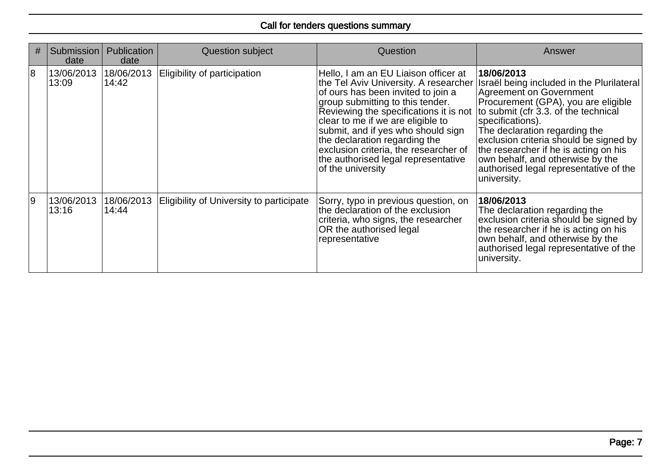| # | <b>Submission</b><br>date | <b>Publication</b><br>date | Question subject                         | Question                                                                                                                                                                                                                                                                                                                                                                                                           | Answer                                                                                                                                                                                                                                                                                                                                                                                                 |
|---|---------------------------|----------------------------|------------------------------------------|--------------------------------------------------------------------------------------------------------------------------------------------------------------------------------------------------------------------------------------------------------------------------------------------------------------------------------------------------------------------------------------------------------------------|--------------------------------------------------------------------------------------------------------------------------------------------------------------------------------------------------------------------------------------------------------------------------------------------------------------------------------------------------------------------------------------------------------|
| 8 | 13/06/2013<br>13:09       | 18/06/2013<br>14:42        | Eligibility of participation             | Hello, I am an EU Liaison officer at<br>the Tel Aviv University. A researcher<br>of ours has been invited to join a<br>group submitting to this tender.<br>Reviewing the specifications it is not<br>clear to me if we are eligible to<br>submit, and if yes who should sign<br>the declaration regarding the<br>exclusion criteria, the researcher of<br>the authorised legal representative<br>of the university | 18/06/2013<br>Israël being included in the Plurilateral<br>Agreement on Government<br>Procurement (GPA), you are eligible<br>to submit (cfr 3.3. of the technical<br>specifications).<br>The declaration regarding the<br>exclusion criteria should be signed by<br>the researcher if he is acting on his<br>own behalf, and otherwise by the<br>authorised legal representative of the<br>university. |
| و | 13/06/2013<br>13:16       | 18/06/2013<br>14:44        | Eligibility of University to participate | Sorry, typo in previous question, on<br>the declaration of the exclusion<br>criteria, who signs, the researcher<br>OR the authorised legal<br>representative                                                                                                                                                                                                                                                       | 18/06/2013<br>The declaration regarding the<br>exclusion criteria should be signed by<br>the researcher if he is acting on his<br>own behalf, and otherwise by the<br>authorised legal representative of the<br>university.                                                                                                                                                                            |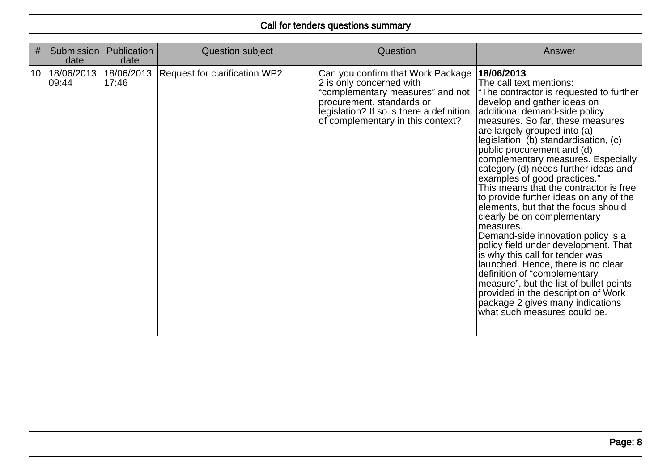| #               | Submission<br>date  | <b>Publication</b><br>date | Question subject                     | Question                                                                                                                                                                                                        | Answer                                                                                                                                                                                                                                                                                                                                                                                                                                                                                                                                                                                                                                                                                                                                                                                                                                                                                                                        |
|-----------------|---------------------|----------------------------|--------------------------------------|-----------------------------------------------------------------------------------------------------------------------------------------------------------------------------------------------------------------|-------------------------------------------------------------------------------------------------------------------------------------------------------------------------------------------------------------------------------------------------------------------------------------------------------------------------------------------------------------------------------------------------------------------------------------------------------------------------------------------------------------------------------------------------------------------------------------------------------------------------------------------------------------------------------------------------------------------------------------------------------------------------------------------------------------------------------------------------------------------------------------------------------------------------------|
| 10 <sup>°</sup> | 18/06/2013<br>09:44 | 18/06/2013<br>17:46        | <b>Request for clarification WP2</b> | Can you confirm that Work Package<br>2 is only concerned with<br>"complementary measures" and not<br>procurement, standards or<br>legislation? If so is there a definition<br>of complementary in this context? | 18/06/2013<br>The call text mentions:<br>"The contractor is requested to further<br>develop and gather ideas on<br>additional demand-side policy<br>measures. So far, these measures<br>are largely grouped into (a)<br>legislation, (b) standardisation, (c)<br>public procurement and (d)<br>complementary measures. Especially<br>category (d) needs further ideas and<br>examples of good practices."<br>This means that the contractor is free<br>to provide further ideas on any of the<br>elements, but that the focus should<br>clearly be on complementary<br>measures.<br>Demand-side innovation policy is a<br>policy field under development. That<br>is why this call for tender was<br>launched. Hence, there is no clear<br>definition of "complementary<br>measure", but the list of bullet points<br>provided in the description of Work<br>package 2 gives many indications<br>what such measures could be. |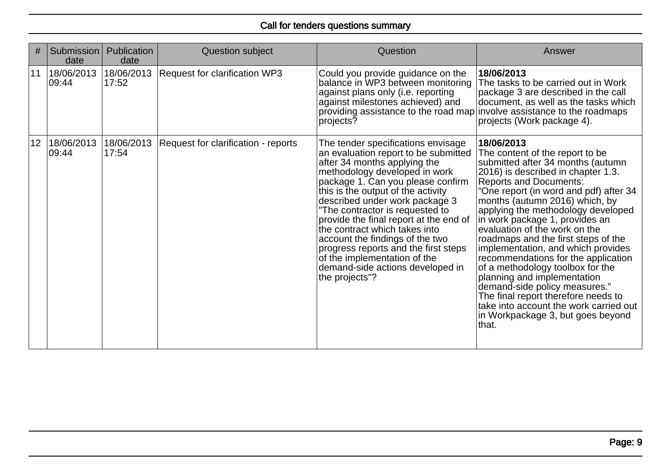| #  | Submission<br>date  | <b>Publication</b><br>date | Question subject                     | Question                                                                                                                                                                                                                                                                                                                                                                                                                                                                                                                                | Answer                                                                                                                                                                                                                                                                                                                                                                                                                                                                                                                                                                                                                                                                                          |
|----|---------------------|----------------------------|--------------------------------------|-----------------------------------------------------------------------------------------------------------------------------------------------------------------------------------------------------------------------------------------------------------------------------------------------------------------------------------------------------------------------------------------------------------------------------------------------------------------------------------------------------------------------------------------|-------------------------------------------------------------------------------------------------------------------------------------------------------------------------------------------------------------------------------------------------------------------------------------------------------------------------------------------------------------------------------------------------------------------------------------------------------------------------------------------------------------------------------------------------------------------------------------------------------------------------------------------------------------------------------------------------|
| 11 | 18/06/2013<br>09:44 | 18/06/2013<br>17:52        | <b>Request for clarification WP3</b> | Could you provide guidance on the<br>balance in WP3 between monitoring<br>against plans only (i.e. reporting<br>against milestones achieved) and<br>providing assistance to the road map involve assistance to the roadmaps<br>projects?                                                                                                                                                                                                                                                                                                | 18/06/2013<br>The tasks to be carried out in Work<br>package 3 are described in the call<br>document, as well as the tasks which<br>projects (Work package 4).                                                                                                                                                                                                                                                                                                                                                                                                                                                                                                                                  |
| 12 | 18/06/2013<br>09:44 | 18/06/2013<br>17:54        | Request for clarification - reports  | The tender specifications envisage<br>an evaluation report to be submitted<br>after 34 months applying the<br>methodology developed in work<br>package 1. Can you please confirm<br>this is the output of the activity<br>described under work package 3<br>"The contractor is requested to<br>provide the final report at the end of<br>the contract which takes into<br>account the findings of the two<br>progress reports and the first steps<br>of the implementation of the<br>demand-side actions developed in<br>the projects"? | 18/06/2013<br>The content of the report to be<br>submitted after 34 months (autumn<br>2016) is described in chapter 1.3.<br>Reports and Documents:<br>"One report (in word and pdf) after 34<br>months (autumn 2016) which, by<br>applying the methodology developed<br>in work package 1, provides an<br>evaluation of the work on the<br>roadmaps and the first steps of the<br>implementation, and which provides<br>recommendations for the application<br>of a methodology toolbox for the<br>planning and implementation<br>demand-side policy measures."<br>The final report therefore needs to<br>take into account the work carried out<br>in Workpackage 3, but goes beyond<br> that. |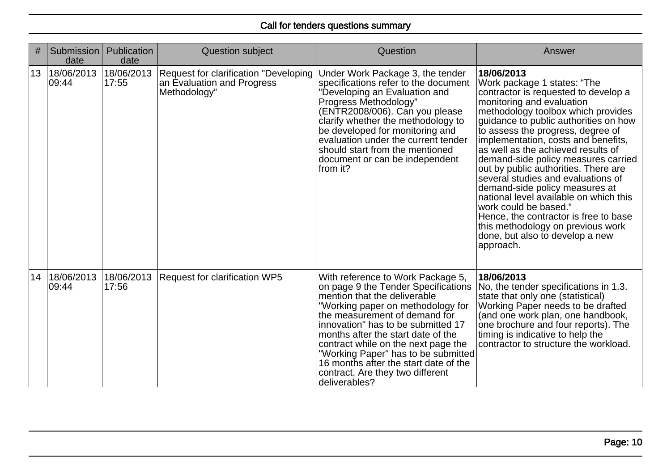| #  | Submission<br>date             | Publication<br>date | <b>Question subject</b>                                                             | Question                                                                                                                                                                                                                                                                                                                                                                                                                               | Answer                                                                                                                                                                                                                                                                                                                                                                                                                                                                                                                                                                                                                                                                  |
|----|--------------------------------|---------------------|-------------------------------------------------------------------------------------|----------------------------------------------------------------------------------------------------------------------------------------------------------------------------------------------------------------------------------------------------------------------------------------------------------------------------------------------------------------------------------------------------------------------------------------|-------------------------------------------------------------------------------------------------------------------------------------------------------------------------------------------------------------------------------------------------------------------------------------------------------------------------------------------------------------------------------------------------------------------------------------------------------------------------------------------------------------------------------------------------------------------------------------------------------------------------------------------------------------------------|
| 13 | 18/06/2013 18/06/2013<br>09:44 | 17:55               | Request for clarification "Developing<br>an Evaluation and Progress<br>Methodology" | Under Work Package 3, the tender<br>specifications refer to the document<br>'Developing an Evaluation and<br>Progress Methodology"<br>(ENTR2008/006). Can you please<br>clarify whether the methodology to<br>be developed for monitoring and<br>evaluation under the current tender<br>should start from the mentioned<br>document or can be independent<br>from it?                                                                  | 18/06/2013<br>Work package 1 states: "The<br>contractor is requested to develop a<br>monitoring and evaluation<br>methodology toolbox which provides<br>guidance to public authorities on how<br>to assess the progress, degree of<br>implementation, costs and benefits,<br>as well as the achieved results of<br>demand-side policy measures carried<br>out by public authorities. There are<br>several studies and evaluations of<br>demand-side policy measures at<br>national level available on which this<br>work could be based."<br>Hence, the contractor is free to base<br>this methodology on previous work<br>done, but also to develop a new<br>approach. |
| 14 | 18/06/2013<br>09:44            | 18/06/2013<br>17:56 | <b>Request for clarification WP5</b>                                                | With reference to Work Package 5,<br>on page 9 the Tender Specifications<br>mention that the deliverable<br>"Working paper on methodology for<br>the measurement of demand for<br>innovation" has to be submitted 17<br>months after the start date of the<br>contract while on the next page the<br>"Working Paper" has to be submitted<br>16 months after the start date of the<br>contract. Are they two different<br>deliverables? | 18/06/2013<br>No, the tender specifications in 1.3.<br>state that only one (statistical)<br>Working Paper needs to be drafted<br>(and one work plan, one handbook,<br>one brochure and four reports). The<br>timing is indicative to help the<br>contractor to structure the workload.                                                                                                                                                                                                                                                                                                                                                                                  |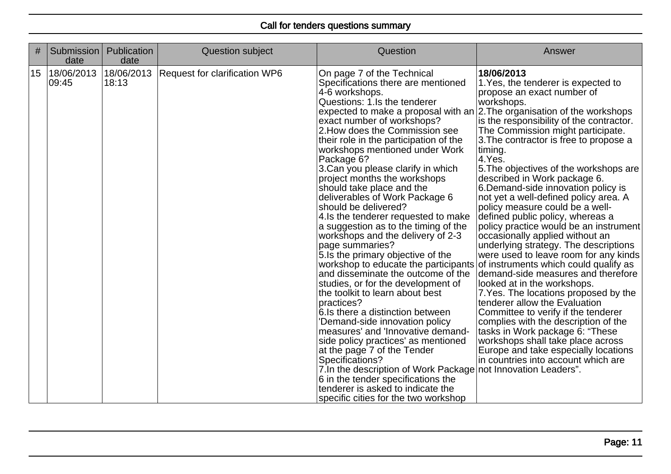| #  | Submission<br>date  | Publication<br>date | <b>Question subject</b>       | Question                                                                                                                                                                                                                                                                                                                                                                                                                                                                                                                                                                                                                                                                                                                                                                                                                                                                                                                                                                                                                                                                                                                                                                                                                                                               | Answer                                                                                                                                                                                                                                                                                                                                                                                                                                                                                                                                                                                                                                                                                                                                                                                                                                                                                                                                                                                                                                                                          |
|----|---------------------|---------------------|-------------------------------|------------------------------------------------------------------------------------------------------------------------------------------------------------------------------------------------------------------------------------------------------------------------------------------------------------------------------------------------------------------------------------------------------------------------------------------------------------------------------------------------------------------------------------------------------------------------------------------------------------------------------------------------------------------------------------------------------------------------------------------------------------------------------------------------------------------------------------------------------------------------------------------------------------------------------------------------------------------------------------------------------------------------------------------------------------------------------------------------------------------------------------------------------------------------------------------------------------------------------------------------------------------------|---------------------------------------------------------------------------------------------------------------------------------------------------------------------------------------------------------------------------------------------------------------------------------------------------------------------------------------------------------------------------------------------------------------------------------------------------------------------------------------------------------------------------------------------------------------------------------------------------------------------------------------------------------------------------------------------------------------------------------------------------------------------------------------------------------------------------------------------------------------------------------------------------------------------------------------------------------------------------------------------------------------------------------------------------------------------------------|
| 15 | 18/06/2013<br>09:45 | 18/06/2013<br>18:13 | Request for clarification WP6 | On page 7 of the Technical<br>Specifications there are mentioned<br>4-6 workshops.<br>Questions: 1.Is the tenderer<br>expected to make a proposal with an $ 2$ . The organisation of the workshops<br>exact number of workshops?<br>2. How does the Commission see<br>their role in the participation of the<br>workshops mentioned under Work<br>Package 6?<br>3. Can you please clarify in which<br>project months the workshops<br>should take place and the<br>deliverables of Work Package 6<br>should be delivered?<br>4. Is the tenderer requested to make<br>a suggestion as to the timing of the<br>workshops and the delivery of 2-3<br>page summaries?<br>5. Is the primary objective of the<br>workshop to educate the participants<br>and disseminate the outcome of the<br>studies, or for the development of<br>the toolkit to learn about best<br>practices?<br>6. Is there a distinction between<br>'Demand-side innovation policy<br>measures' and 'Innovative demand-<br>side policy practices' as mentioned<br>at the page 7 of the Tender<br>Specifications?<br>7. In the description of Work Package not Innovation Leaders".<br>6 in the tender specifications the<br>tenderer is asked to indicate the<br>specific cities for the two workshop | 18/06/2013<br>1. Yes, the tenderer is expected to<br>propose an exact number of<br>workshops.<br>is the responsibility of the contractor.<br>The Commission might participate.<br>3. The contractor is free to propose a<br>timing.<br>$ 4.$ Yes.<br>5. The objectives of the workshops are<br>described in Work package 6.<br>6. Demand-side innovation policy is<br>not yet a well-defined policy area. A<br>policy measure could be a well-<br>defined public policy, whereas a<br>policy practice would be an instrument<br>occasionally applied without an<br>underlying strategy. The descriptions<br>were used to leave room for any kinds<br>of instruments which could qualify as<br>demand-side measures and therefore<br>looked at in the workshops.<br>7. Yes. The locations proposed by the<br>tenderer allow the Evaluation<br>Committee to verify if the tenderer<br>complies with the description of the<br>tasks in Work package 6: "These<br>workshops shall take place across<br>Europe and take especially locations<br>in countries into account which are |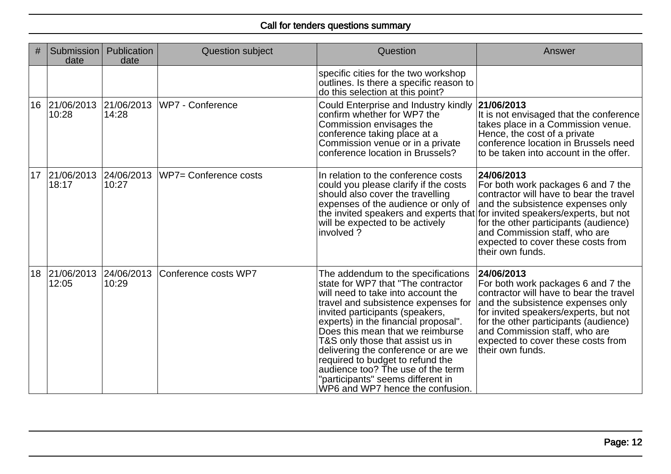| #  | Submission<br>date     | Publication<br>date | Question subject      | Question                                                                                                                                                                                                                                                                                                                                                                                                                                                                                          | Answer                                                                                                                                                                                                                                                                                                        |
|----|------------------------|---------------------|-----------------------|---------------------------------------------------------------------------------------------------------------------------------------------------------------------------------------------------------------------------------------------------------------------------------------------------------------------------------------------------------------------------------------------------------------------------------------------------------------------------------------------------|---------------------------------------------------------------------------------------------------------------------------------------------------------------------------------------------------------------------------------------------------------------------------------------------------------------|
|    |                        |                     |                       | specific cities for the two workshop<br>outlines. Is there a specific reason to<br>do this selection at this point?                                                                                                                                                                                                                                                                                                                                                                               |                                                                                                                                                                                                                                                                                                               |
|    | 16 21/06/2013<br>10:28 | 21/06/2013<br>14:28 | WP7 - Conference      | Could Enterprise and Industry kindly<br>confirm whether for WP7 the<br>Commission envisages the<br>conference taking place at a<br>Commission venue or in a private<br>conference location in Brussels?                                                                                                                                                                                                                                                                                           | 21/06/2013<br>It is not envisaged that the conference<br>takes place in a Commission venue.<br>Hence, the cost of a private<br>conference location in Brussels need<br>to be taken into account in the offer.                                                                                                 |
|    | 17 21/06/2013<br>18:17 | 24/06/2013<br>10:27 | WP7= Conference costs | In relation to the conference costs<br>could you please clarify if the costs<br>should also cover the travelling<br>expenses of the audience or only of<br>the invited speakers and experts that for invited speakers/experts, but not<br>will be expected to be actively<br>involved?                                                                                                                                                                                                            | 24/06/2013<br>For both work packages 6 and 7 the<br>contractor will have to bear the travel<br>and the subsistence expenses only<br>for the other participants (audience)<br>and Commission staff, who are<br>expected to cover these costs from<br>their own funds.                                          |
| 18 | 21/06/2013<br>12:05    | 24/06/2013<br>10:29 | Conference costs WP7  | The addendum to the specifications<br>state for WP7 that "The contractor<br>will need to take into account the<br>travel and subsistence expenses for<br>invited participants (speakers,<br>experts) in the financial proposal".<br>Does this mean that we reimburse<br>T&S only those that assist us in<br>delivering the conference or are we<br>required to budget to refund the<br>audience too? The use of the term<br>"participants" seems different in<br>WP6 and WP7 hence the confusion. | 24/06/2013<br>For both work packages 6 and 7 the<br>contractor will have to bear the travel<br>and the subsistence expenses only<br>for invited speakers/experts, but not<br>for the other participants (audience)<br>and Commission staff, who are<br>expected to cover these costs from<br>their own funds. |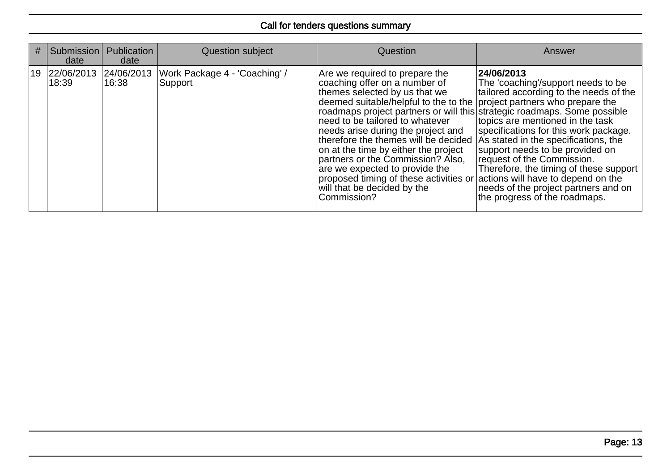| # | Submission<br>date                    | Publication<br>date | Question subject                         | <b>Question</b>                                                                                                                                                                                                                                                                                                                                                                                                                                                                                                                                                                                                   | Answer                                                                                                                                                                                                                                                                                                                                                                                              |
|---|---------------------------------------|---------------------|------------------------------------------|-------------------------------------------------------------------------------------------------------------------------------------------------------------------------------------------------------------------------------------------------------------------------------------------------------------------------------------------------------------------------------------------------------------------------------------------------------------------------------------------------------------------------------------------------------------------------------------------------------------------|-----------------------------------------------------------------------------------------------------------------------------------------------------------------------------------------------------------------------------------------------------------------------------------------------------------------------------------------------------------------------------------------------------|
|   | 19   22/06/2013   24/06/2013<br>18:39 | 16:38               | Work Package 4 - 'Coaching' /<br>Support | Are we required to prepare the<br>coaching offer on a number of<br>themes selected by us that we<br>deemed suitable/helpful to the to the project partners who prepare the<br>roadmaps project partners or will this strategic roadmaps. Some possible<br>need to be tailored to whatever<br>needs arise during the project and<br>therefore the themes will be decided<br>on at the time by either the project<br>partners or the Commission? Also,<br>are we expected to provide the<br>proposed timing of these activities or actions will have to depend on the<br>will that be decided by the<br>Commission? | 24/06/2013<br>The 'coaching'/support needs to be<br>tailored according to the needs of the<br>topics are mentioned in the task<br>specifications for this work package.<br>As stated in the specifications, the<br>support needs to be provided on<br>request of the Commission.<br>Therefore, the timing of these support<br>needs of the project partners and on<br>the progress of the roadmaps. |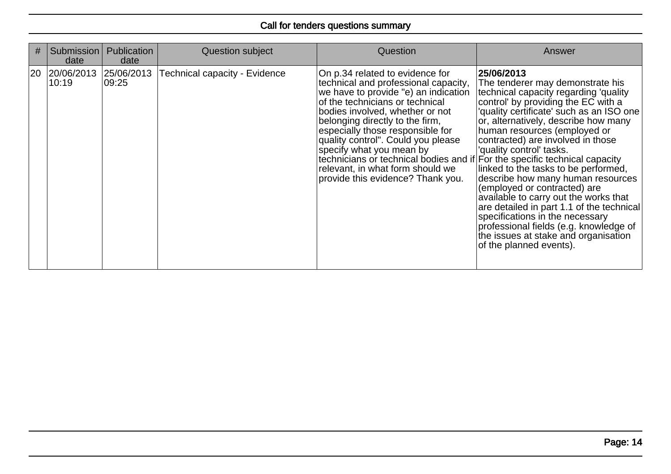| #  | Submission<br>date             | <b>Publication</b><br>date | Question subject                     | Question                                                                                                                                                                                                                                                                                                                                                                                                                                                                              | Answer                                                                                                                                                                                                                                                                                                                                                                                                                                                                                                                                                                                                                                                                  |
|----|--------------------------------|----------------------------|--------------------------------------|---------------------------------------------------------------------------------------------------------------------------------------------------------------------------------------------------------------------------------------------------------------------------------------------------------------------------------------------------------------------------------------------------------------------------------------------------------------------------------------|-------------------------------------------------------------------------------------------------------------------------------------------------------------------------------------------------------------------------------------------------------------------------------------------------------------------------------------------------------------------------------------------------------------------------------------------------------------------------------------------------------------------------------------------------------------------------------------------------------------------------------------------------------------------------|
| 20 | 20/06/2013 25/06/2013<br>10:19 | 09:25                      | <b>Technical capacity - Evidence</b> | On p.34 related to evidence for<br>technical and professional capacity,<br>we have to provide "e) an indication<br>of the technicians or technical<br>bodies involved, whether or not<br>belonging directly to the firm,<br>especially those responsible for<br>quality control". Could you please<br>specify what you mean by<br>technicians or technical bodies and if For the specific technical capacity<br>relevant, in what form should we<br>provide this evidence? Thank you. | 25/06/2013<br>The tenderer may demonstrate his<br>technical capacity regarding 'quality'<br>control' by providing the EC with a<br>'quality certificate' such as an ISO one<br>or, alternatively, describe how many<br>human resources (employed or<br>contracted) are involved in those<br>'quality control' tasks.<br>linked to the tasks to be performed,<br>describe how many human resources<br>(employed or contracted) are<br>available to carry out the works that<br>are detailed in part 1.1 of the technical<br>specifications in the necessary<br>professional fields (e.g. knowledge of<br>the issues at stake and organisation<br>of the planned events). |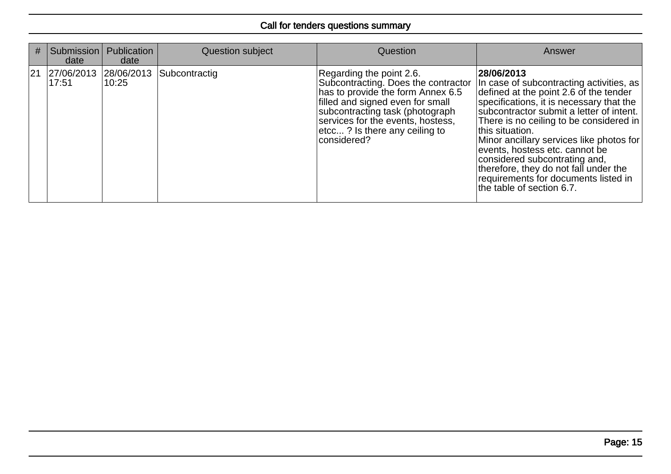| #  | Submission<br>date             | Publication<br>date | Question subject | Question                                                                                                                                                                                                                                                         | Answer                                                                                                                                                                                                                                                                                                                                                                                                                                                                                |
|----|--------------------------------|---------------------|------------------|------------------------------------------------------------------------------------------------------------------------------------------------------------------------------------------------------------------------------------------------------------------|---------------------------------------------------------------------------------------------------------------------------------------------------------------------------------------------------------------------------------------------------------------------------------------------------------------------------------------------------------------------------------------------------------------------------------------------------------------------------------------|
| 21 | 27/06/2013 28/06/2013<br>17:51 | 10:25               | Subcontractig    | Regarding the point 2.6.<br>Subcontracting. Does the contractor<br>has to provide the form Annex 6.5<br>filled and signed even for small<br>subcontracting task (photograph<br>services for the events, hostess,<br>etcc? Is there any ceiling to<br>considered? | 28/06/2013<br>In case of subcontracting activities, as<br>defined at the point 2.6 of the tender<br>specifications, it is necessary that the<br>subcontractor submit a letter of intent.  <br>There is no ceiling to be considered in<br>this situation.<br>Minor ancillary services like photos for<br>events, hostess etc. cannot be<br>considered subcontrating and,<br>therefore, they do not fall under the<br>requirements for documents listed in<br>the table of section 6.7. |